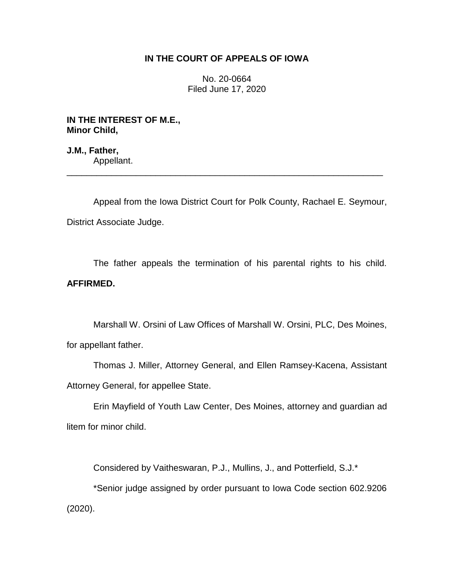## **IN THE COURT OF APPEALS OF IOWA**

No. 20-0664 Filed June 17, 2020

**IN THE INTEREST OF M.E., Minor Child,**

**J.M., Father,** Appellant.

Appeal from the Iowa District Court for Polk County, Rachael E. Seymour, District Associate Judge.

\_\_\_\_\_\_\_\_\_\_\_\_\_\_\_\_\_\_\_\_\_\_\_\_\_\_\_\_\_\_\_\_\_\_\_\_\_\_\_\_\_\_\_\_\_\_\_\_\_\_\_\_\_\_\_\_\_\_\_\_\_\_\_\_

The father appeals the termination of his parental rights to his child. **AFFIRMED.**

Marshall W. Orsini of Law Offices of Marshall W. Orsini, PLC, Des Moines, for appellant father.

Thomas J. Miller, Attorney General, and Ellen Ramsey-Kacena, Assistant Attorney General, for appellee State.

Erin Mayfield of Youth Law Center, Des Moines, attorney and guardian ad litem for minor child.

Considered by Vaitheswaran, P.J., Mullins, J., and Potterfield, S.J.\*

\*Senior judge assigned by order pursuant to Iowa Code section 602.9206 (2020).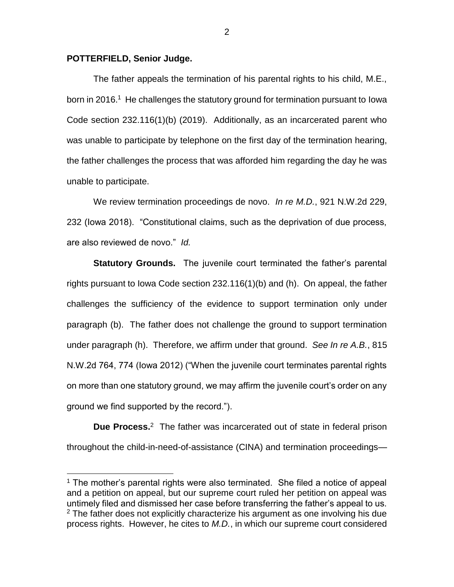## **POTTERFIELD, Senior Judge.**

 $\overline{a}$ 

The father appeals the termination of his parental rights to his child, M.E., born in 2016.<sup>1</sup> He challenges the statutory ground for termination pursuant to lowa Code section 232.116(1)(b) (2019). Additionally, as an incarcerated parent who was unable to participate by telephone on the first day of the termination hearing, the father challenges the process that was afforded him regarding the day he was unable to participate.

We review termination proceedings de novo. *In re M.D.*, 921 N.W.2d 229, 232 (Iowa 2018). "Constitutional claims, such as the deprivation of due process, are also reviewed de novo." *Id.* 

**Statutory Grounds.** The juvenile court terminated the father's parental rights pursuant to Iowa Code section 232.116(1)(b) and (h). On appeal, the father challenges the sufficiency of the evidence to support termination only under paragraph (b). The father does not challenge the ground to support termination under paragraph (h). Therefore, we affirm under that ground. *See In re A.B.*, 815 N.W.2d 764, 774 (Iowa 2012) ("When the juvenile court terminates parental rights on more than one statutory ground, we may affirm the juvenile court's order on any ground we find supported by the record.").

**Due Process.**<sup>2</sup> The father was incarcerated out of state in federal prison throughout the child-in-need-of-assistance (CINA) and termination proceedings—

 $1$  The mother's parental rights were also terminated. She filed a notice of appeal and a petition on appeal, but our supreme court ruled her petition on appeal was untimely filed and dismissed her case before transferring the father's appeal to us.  $2$  The father does not explicitly characterize his argument as one involving his due process rights. However, he cites to *M.D.*, in which our supreme court considered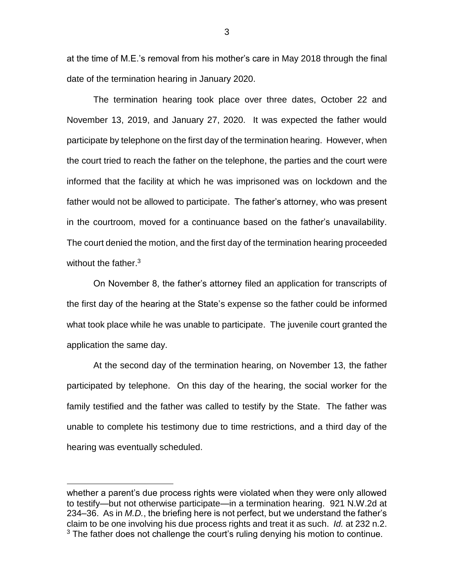at the time of M.E.'s removal from his mother's care in May 2018 through the final date of the termination hearing in January 2020.

The termination hearing took place over three dates, October 22 and November 13, 2019, and January 27, 2020. It was expected the father would participate by telephone on the first day of the termination hearing. However, when the court tried to reach the father on the telephone, the parties and the court were informed that the facility at which he was imprisoned was on lockdown and the father would not be allowed to participate. The father's attorney, who was present in the courtroom, moved for a continuance based on the father's unavailability. The court denied the motion, and the first day of the termination hearing proceeded without the father.<sup>3</sup>

On November 8, the father's attorney filed an application for transcripts of the first day of the hearing at the State's expense so the father could be informed what took place while he was unable to participate. The juvenile court granted the application the same day.

At the second day of the termination hearing, on November 13, the father participated by telephone. On this day of the hearing, the social worker for the family testified and the father was called to testify by the State. The father was unable to complete his testimony due to time restrictions, and a third day of the hearing was eventually scheduled.

 $\overline{a}$ 

whether a parent's due process rights were violated when they were only allowed to testify—but not otherwise participate—in a termination hearing. 921 N.W.2d at 234–36. As in *M.D.*, the briefing here is not perfect, but we understand the father's claim to be one involving his due process rights and treat it as such. *Id.* at 232 n.2. <sup>3</sup> The father does not challenge the court's ruling denying his motion to continue.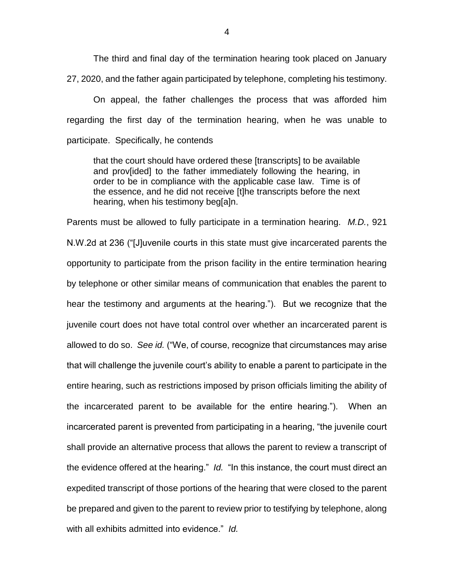The third and final day of the termination hearing took placed on January 27, 2020, and the father again participated by telephone, completing his testimony.

On appeal, the father challenges the process that was afforded him regarding the first day of the termination hearing, when he was unable to participate. Specifically, he contends

that the court should have ordered these [transcripts] to be available and prov[ided] to the father immediately following the hearing, in order to be in compliance with the applicable case law. Time is of the essence, and he did not receive [t]he transcripts before the next hearing, when his testimony beg[a]n.

Parents must be allowed to fully participate in a termination hearing. *M.D.*, 921 N.W.2d at 236 ("[J]uvenile courts in this state must give incarcerated parents the opportunity to participate from the prison facility in the entire termination hearing by telephone or other similar means of communication that enables the parent to hear the testimony and arguments at the hearing."). But we recognize that the juvenile court does not have total control over whether an incarcerated parent is allowed to do so. *See id.* ("We, of course, recognize that circumstances may arise that will challenge the juvenile court's ability to enable a parent to participate in the entire hearing, such as restrictions imposed by prison officials limiting the ability of the incarcerated parent to be available for the entire hearing."). When an incarcerated parent is prevented from participating in a hearing, "the juvenile court shall provide an alternative process that allows the parent to review a transcript of the evidence offered at the hearing." *Id.* "In this instance, the court must direct an expedited transcript of those portions of the hearing that were closed to the parent be prepared and given to the parent to review prior to testifying by telephone, along with all exhibits admitted into evidence." *Id.*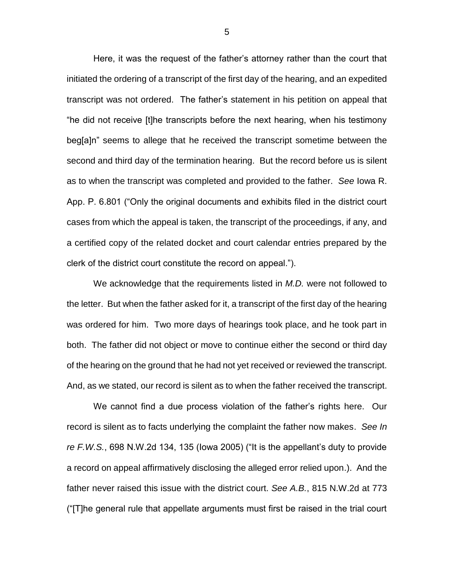Here, it was the request of the father's attorney rather than the court that initiated the ordering of a transcript of the first day of the hearing, and an expedited transcript was not ordered. The father's statement in his petition on appeal that "he did not receive [t]he transcripts before the next hearing, when his testimony beg[a]n" seems to allege that he received the transcript sometime between the second and third day of the termination hearing. But the record before us is silent as to when the transcript was completed and provided to the father. *See* Iowa R. App. P. 6.801 ("Only the original documents and exhibits filed in the district court cases from which the appeal is taken, the transcript of the proceedings, if any, and a certified copy of the related docket and court calendar entries prepared by the clerk of the district court constitute the record on appeal.").

We acknowledge that the requirements listed in *M.D.* were not followed to the letter. But when the father asked for it, a transcript of the first day of the hearing was ordered for him. Two more days of hearings took place, and he took part in both. The father did not object or move to continue either the second or third day of the hearing on the ground that he had not yet received or reviewed the transcript. And, as we stated, our record is silent as to when the father received the transcript.

We cannot find a due process violation of the father's rights here. Our record is silent as to facts underlying the complaint the father now makes. *See In re F.W.S.*, 698 N.W.2d 134, 135 (Iowa 2005) ("It is the appellant's duty to provide a record on appeal affirmatively disclosing the alleged error relied upon.). And the father never raised this issue with the district court. *See A.B.*, 815 N.W.2d at 773 ("[T]he general rule that appellate arguments must first be raised in the trial court

5